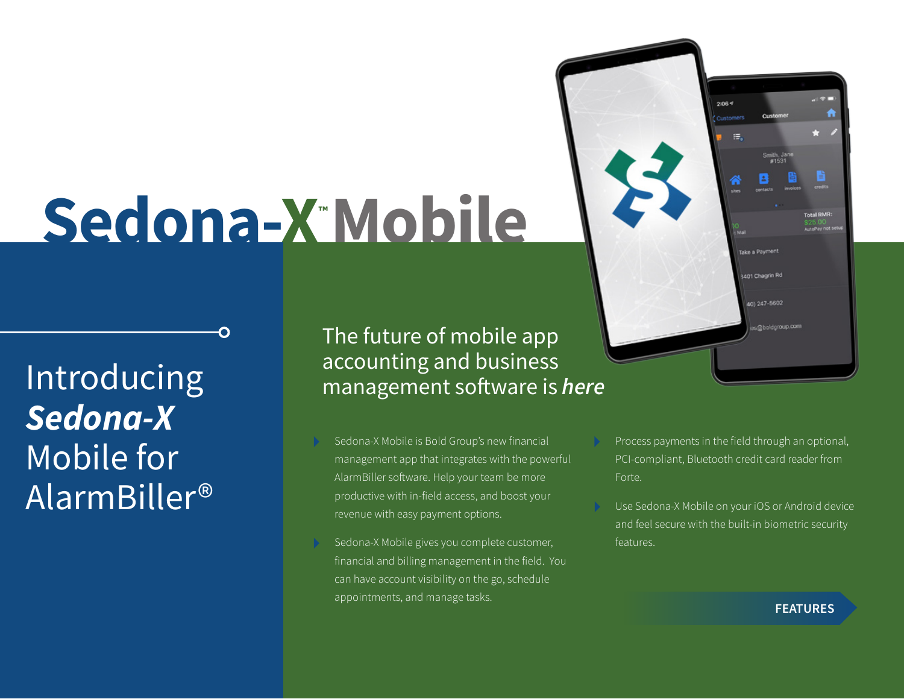# **Sedona-X™ Mobile**

Introducing *Sedona-X* Mobile for AlarmBiller® The future of mobile app accounting and business management software is *here*

- Sedona-X Mobile is Bold Group's new financial management app that integrates with the powerful AlarmBiller software. Help your team be more productive with in-field access, and boost your revenue with easy payment options.
- Sedona-X Mobile gives you complete customer, financial and billing management in the field. You can have account visibility on the go, schedule appointments, and manage tasks.
- Process payments in the field through an optional, PCI-compliant, Bluetooth credit card reader from Forte.

 $2:06<sup>q</sup>$ 

法。

Take a Payment

3401 Chagrin Rd

401247-5602

Use Sedona-X Mobile on your iOS or Android device and feel secure with the built-in biometric security features.

#### **FEATURES**

val RMR